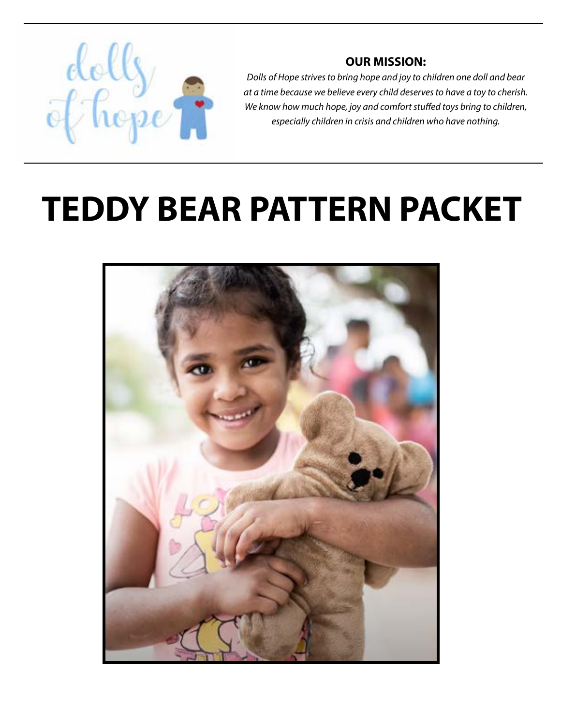

#### **OUR MISSION:**

*Dolls of Hope strives to bring hope and joy to children one doll and bear at a time because we believe every child deserves to have a toy to cherish. We know how much hope, joy and comfort stuffed toys bring to children, especially children in crisis and children who have nothing.*

# **TEDDY BEAR PATTERN PACKET**

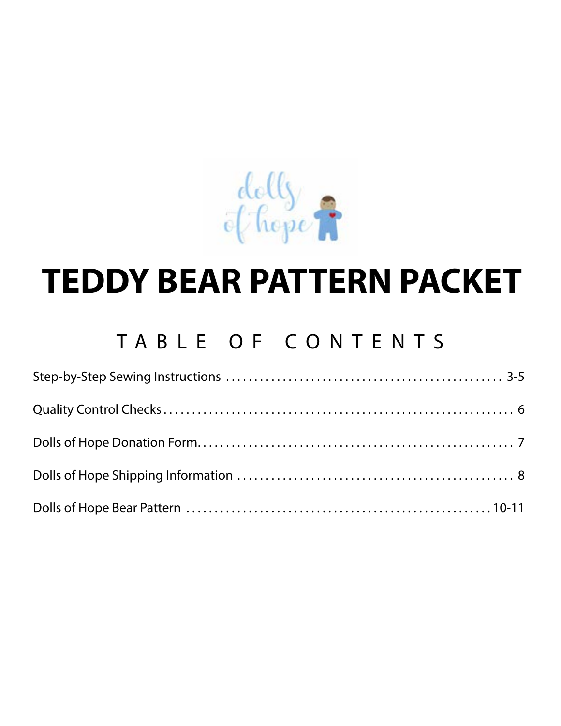

## **TEDDY BEAR PATTERN PACKET**

### TABLE OF CONTENTS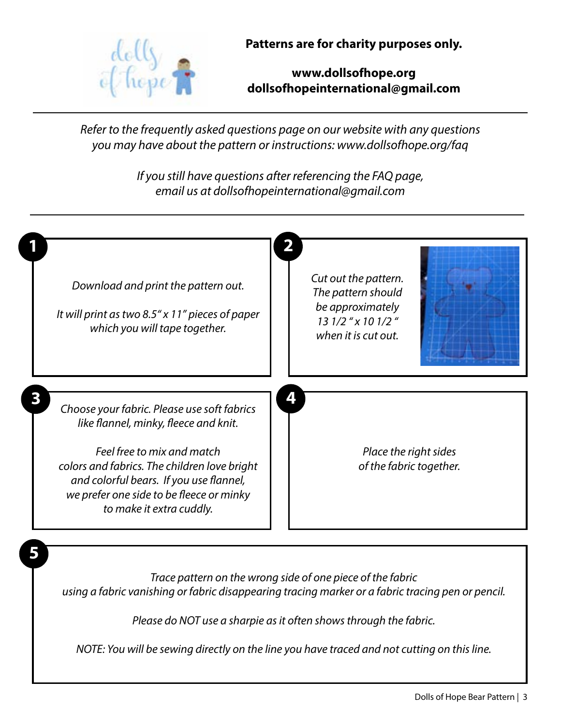

**www.dollsofhope.org dollsofhopeinternational@gmail.com**

*Refer to the frequently asked questions page on our website with any questions you may have about the pattern or instructions: www.dollsofhope.org/faq*

> *If you still have questions after referencing the FAQ page, email us at dollsofhopeinternational@gmail.com*



*Please do NOT use a sharpie as it often shows through the fabric.*

*NOTE: You will be sewing directly on the line you have traced and not cutting on this line.*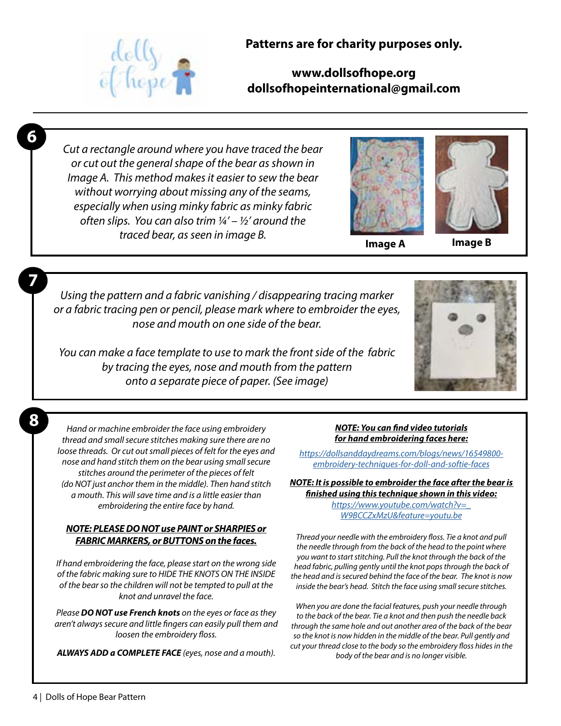

#### **www.dollsofhope.org dollsofhopeinternational@gmail.com**

**6**

**7**

*Cut a rectangle around where you have traced the bear or cut out the general shape of the bear as shown in Image A. This method makes it easier to sew the bear without worrying about missing any of the seams, especially when using minky fabric as minky fabric often slips. You can also trim ¼' – ½' around the traced bear, as seen in image B.* **Image A Image B**



*Using the pattern and a fabric vanishing / disappearing tracing marker or a fabric tracing pen or pencil, please mark where to embroider the eyes, nose and mouth on one side of the bear.* 

*You can make a face template to use to mark the front side of the fabric by tracing the eyes, nose and mouth from the pattern onto a separate piece of paper. (See image)*



**8** *Hand or machine embroider the face using embroidery thread and small secure stitches making sure there are no loose threads. Or cut out small pieces of felt for the eyes and nose and hand stitch them on the bear using small secure stitches around the perimeter of the pieces of felt (do NOT just anchor them in the middle). Then hand stitch a mouth. This will save time and is a little easier than embroidering the entire face by hand.*

#### *NOTE: PLEASE DO NOT use PAINT or SHARPIES or FABRIC MARKERS, or BUTTONS on the faces.*

*If hand embroidering the face, please start on the wrong side of the fabric making sure to HIDE THE KNOTS ON THE INSIDE of the bear so the children will not be tempted to pull at the knot and unravel the face.*

*Please DO NOT use French knots on the eyes or face as they aren't always secure and little fingers can easily pull them and loosen the embroidery floss.* 

*ALWAYS ADD a COMPLETE FACE (eyes, nose and a mouth).*

#### *NOTE: You can find video tutorials for hand embroidering faces here:*

*[https://dollsanddaydreams.com/blogs/news/16549800](https://dollsanddaydreams.com/blogs/news/16549800-embroidery-techniques-for-doll-and-softie-faces) [embroidery-techniques-for-doll-and-softie-faces](https://dollsanddaydreams.com/blogs/news/16549800-embroidery-techniques-for-doll-and-softie-faces)*

*NOTE: It is possible to embroider the face after the bear is finished using this technique shown in this video:*

> *[https://www.youtube.com/watch?v=\\_](https://www.youtube.com/watch?v=_W9BCCZxMzU&feature=youtu.be) [W9BCCZxMzU&feature=youtu.be](https://www.youtube.com/watch?v=_W9BCCZxMzU&feature=youtu.be)*

*Thread your needle with the embroidery floss. Tie a knot and pull the needle through from the back of the head to the point where you want to start stitching. Pull the knot through the back of the head fabric, pulling gently until the knot pops through the back of the head and is secured behind the face of the bear. The knot is now inside the bear's head. Stitch the face using small secure stitches.* 

*When you are done the facial features, push your needle through to the back of the bear. Tie a knot and then push the needle back through the same hole and out another area of the back of the bear so the knot is now hidden in the middle of the bear. Pull gently and cut your thread close to the body so the embroidery floss hides in the body of the bear and is no longer visible.*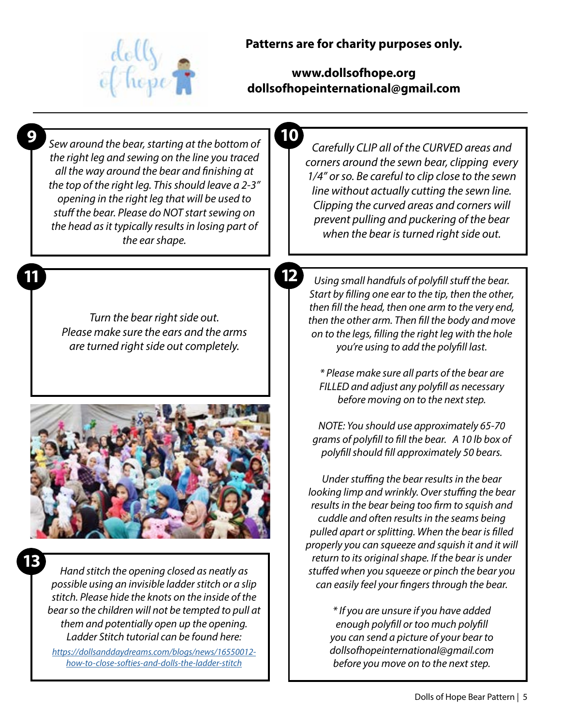

**www.dollsofhope.org dollsofhopeinternational@gmail.com**

**9** *Sew around the bear, starting at the bottom of the right leg and sewing on the line you traced all the way around the bear and finishing at the top of the right leg. This should leave a 2-3" opening in the right leg that will be used to stuff the bear. Please do NOT start sewing on the head as it typically results in losing part of the ear shape.*

### **10**

*Carefully CLIP all of the CURVED areas and corners around the sewn bear, clipping every 1/4" or so. Be careful to clip close to the sewn line without actually cutting the sewn line. Clipping the curved areas and corners will prevent pulling and puckering of the bear when the bear is turned right side out.*

**11**

*Turn the bear right side out. Please make sure the ears and the arms are turned right side out completely.*



**13** *Hand stitch the opening closed as neatly as possible using an invisible ladder stitch or a slip stitch. Please hide the knots on the inside of the bear so the children will not be tempted to pull at them and potentially open up the opening. Ladder Stitch tutorial can be found here:* 

> *[https://dollsanddaydreams.com/blogs/news/16550012](https://dollsanddaydreams.com/blogs/news/16550012-how-to-close-softies-and-dolls-the-ladder-stitch) [how-to-close-softies-and-dolls-the-ladder-stitch](https://dollsanddaydreams.com/blogs/news/16550012-how-to-close-softies-and-dolls-the-ladder-stitch)*

**12** *Using small handfuls of polyfill stuff the bear. Start by filling one ear to the tip, then the other, then fill the head, then one arm to the very end, then the other arm. Then fill the body and move on to the legs, filling the right leg with the hole you're using to add the polyfill last.* 

> *\* Please make sure all parts of the bear are FILLED and adjust any polyfill as necessary before moving on to the next step.*

*NOTE: You should use approximately 65-70 grams of polyfill to fill the bear. A 10 lb box of polyfill should fill approximately 50 bears.* 

*Under stuffing the bear results in the bear looking limp and wrinkly. Over stuffing the bear results in the bear being too firm to squish and cuddle and often results in the seams being pulled apart or splitting. When the bear is filled properly you can squeeze and squish it and it will return to its original shape. If the bear is under stuffed when you squeeze or pinch the bear you can easily feel your fingers through the bear.* 

> *\* If you are unsure if you have added enough polyfill or too much polyfill you can send a picture of your bear to dollsofhopeinternational@gmail.com before you move on to the next step.*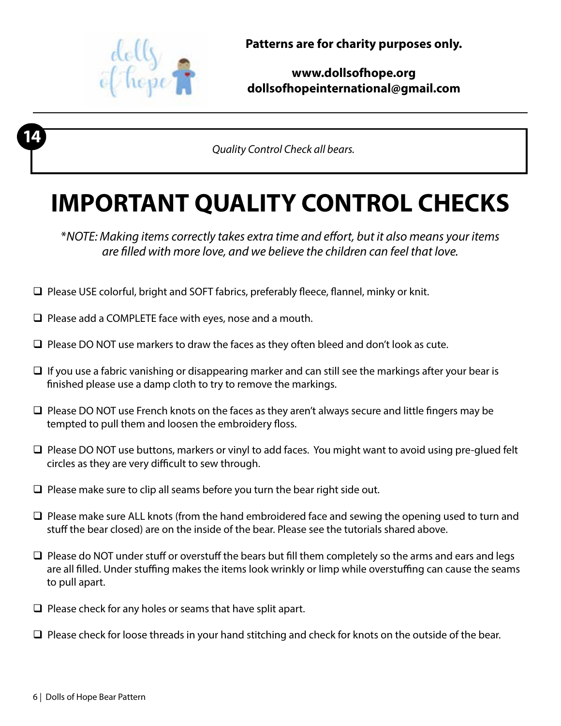

#### **www.dollsofhope.org dollsofhopeinternational@gmail.com**

**14**

*Quality Control Check all bears.*

### **IMPORTANT QUALITY CONTROL CHECKS**

\**NOTE: Making items correctly takes extra time and effort, but it also means your items are filled with more love, and we believe the children can feel that love.*

- $\Box$  Please USE colorful, bright and SOFT fabrics, preferably fleece, flannel, minky or knit.
- $\Box$  Please add a COMPLETE face with eyes, nose and a mouth.
- $\Box$  Please DO NOT use markers to draw the faces as they often bleed and don't look as cute.
- $\Box$  If you use a fabric vanishing or disappearing marker and can still see the markings after your bear is finished please use a damp cloth to try to remove the markings.
- $\Box$  Please DO NOT use French knots on the faces as they aren't always secure and little fingers may be tempted to pull them and loosen the embroidery floss.
- $\Box$  Please DO NOT use buttons, markers or vinyl to add faces. You might want to avoid using pre-glued felt circles as they are very difficult to sew through.
- $\Box$  Please make sure to clip all seams before you turn the bear right side out.
- $\Box$  Please make sure ALL knots (from the hand embroidered face and sewing the opening used to turn and stuff the bear closed) are on the inside of the bear. Please see the tutorials shared above.
- $\Box$  Please do NOT under stuff or overstuff the bears but fill them completely so the arms and ears and legs are all filled. Under stuffing makes the items look wrinkly or limp while overstuffing can cause the seams to pull apart.
- $\Box$  Please check for any holes or seams that have split apart.
- $\Box$  Please check for loose threads in your hand stitching and check for knots on the outside of the bear.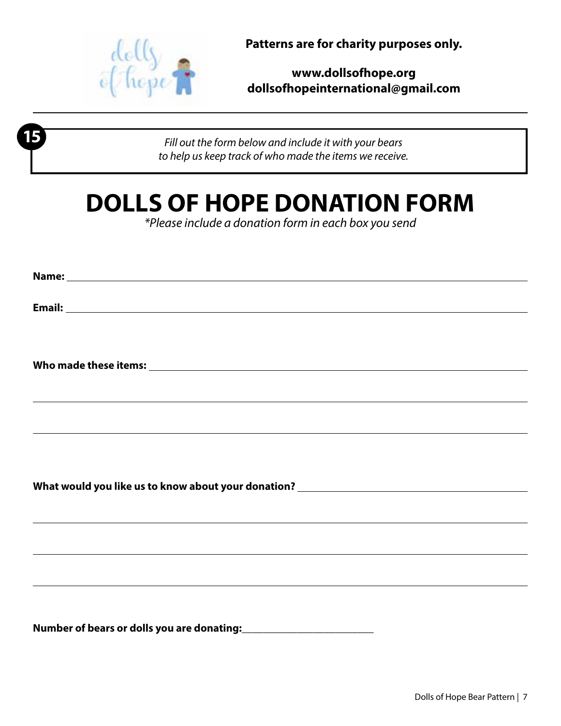

**www.dollsofhope.org dollsofhopeinternational@gmail.com**

**15** *Fill out the form below and include it with your bears to help us keep track of who made the items we receive.*

### **DOLLS OF HOPE DONATION FORM**

*\*Please include a donation form in each box you send*

| <u> 1990 - Jan Samuel Barbara, martin da shekara ta 1991 - An tsara tsa a shekara tsa a shekara tsa a shekara tsa</u>                                                                                                                |
|--------------------------------------------------------------------------------------------------------------------------------------------------------------------------------------------------------------------------------------|
| <u>state and the control of the control of the control of the control of the control of the control of the control of the control of the control of the control of the control of the control of the control of the control of t</u> |
|                                                                                                                                                                                                                                      |
| What would you like us to know about your donation? _____________________________                                                                                                                                                    |
|                                                                                                                                                                                                                                      |
|                                                                                                                                                                                                                                      |
| ,我们也不能在这里的时候,我们也不能在这里的时候,我们也不能不能不能不能不能不能不能不能不能不能不能不能不能不能不能。<br>第2012章 我们的时候,我们的时候,我们的时候,我们的时候,我们的时候,我们的时候,我们的时候,我们的时候,我们的时候,我们的时候,我们的时候,我们的时候,我                                                                                      |
| ,我们也不会有什么。""我们的人,我们也不会有什么?""我们的人,我们也不会有什么?""我们的人,我们也不会有什么?""我们的人,我们也不会有什么?""我们的人                                                                                                                                                     |
| Number of bears or dolls you are donating:<br><u>Number of bears or dolls you are donating:</u>                                                                                                                                      |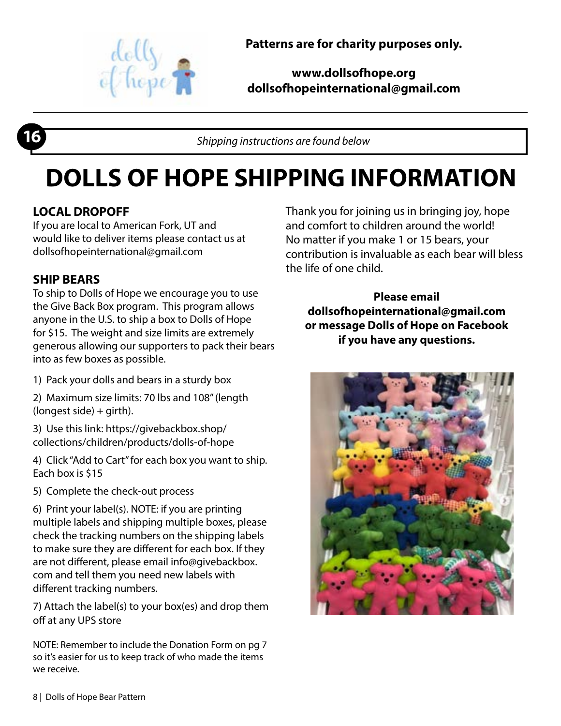

**www.dollsofhope.org dollsofhopeinternational@gmail.com**

**16** *Shipping instructions are found below*

## **DOLLS OF HOPE SHIPPING INFORMATION**

#### **LOCAL DROPOFF**

If you are local to American Fork, UT and would like to deliver items please contact us at dollsofhopeinternational@gmail.com

#### **SHIP BEARS**

To ship to Dolls of Hope we encourage you to use the Give Back Box program. This program allows anyone in the U.S. to ship a box to Dolls of Hope for \$15. The weight and size limits are extremely generous allowing our supporters to pack their bears into as few boxes as possible.

- 1) Pack your dolls and bears in a sturdy box
- 2) Maximum size limits: 70 lbs and 108" (length  $(longest side) + girth).$
- 3) Use this link: https://givebackbox.shop/ collections/children/products/dolls-of-hope
- 4) Click "Add to Cart" for each box you want to ship. Each box is \$15
- 5) Complete the check-out process

6) Print your label(s). NOTE: if you are printing multiple labels and shipping multiple boxes, please check the tracking numbers on the shipping labels to make sure they are different for each box. If they are not different, please email info@givebackbox. com and tell them you need new labels with different tracking numbers.

7) Attach the label(s) to your box(es) and drop them off at any UPS store

NOTE: Remember to include the Donation Form on pg 7 so it's easier for us to keep track of who made the items we receive.

Thank you for joining us in bringing joy, hope and comfort to children around the world! No matter if you make 1 or 15 bears, your contribution is invaluable as each bear will bless the life of one child.

**Please email dollsofhopeinternational@gmail.com or message Dolls of Hope on Facebook if you have any questions.** 

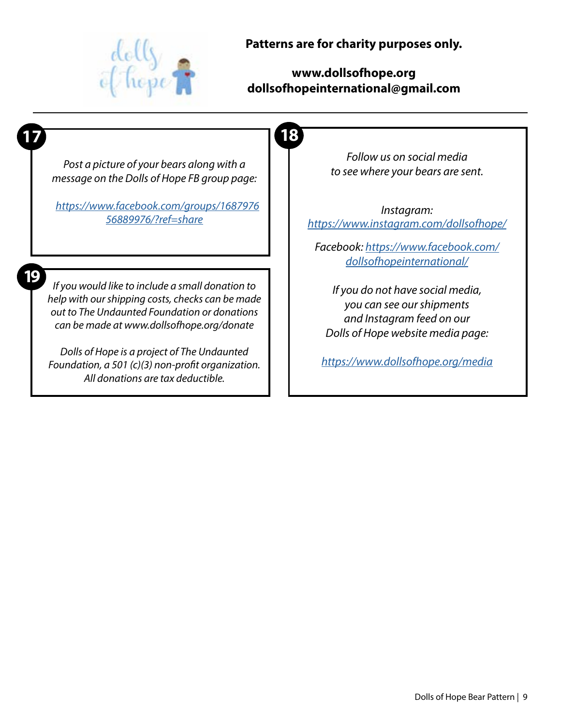

#### **www.dollsofhope.org dollsofhopeinternational@gmail.com**

**18**

*Post a picture of your bears along with a message on the Dolls of Hope FB group page:* 

 *[https://www.facebook.com/groups/1687976](https://www.facebook.com/groups/168797656889976/?ref=share) [56889976/?ref=share](https://www.facebook.com/groups/168797656889976/?ref=share)*

**17**

**19** *If you would like to include a small donation to help with our shipping costs, checks can be made out to The Undaunted Foundation or donations can be made at www.dollsofhope.org/donate*

*Dolls of Hope is a project of The Undaunted Foundation, a 501 (c)(3) non-profit organization. All donations are tax deductible.*

*Follow us on social media to see where your bears are sent.* 

*Instagram: <https://www.instagram.com/dollsofhope/>*

*Facebook: [https://www.facebook.com/](https://www.facebook.com/dollsofhopeinternational/) [dollsofhopeinternational/](https://www.facebook.com/dollsofhopeinternational/)*

*If you do not have social media, you can see our shipments and Instagram feed on our Dolls of Hope website media page:*

*<https://www.dollsofhope.org/media>*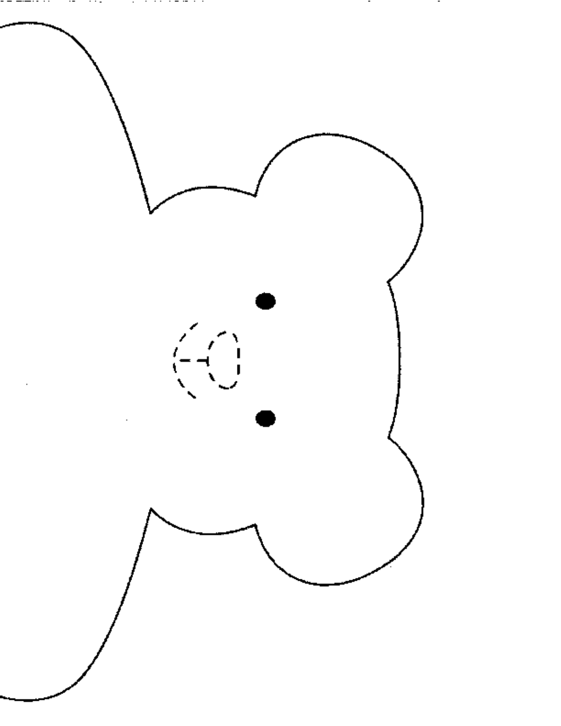